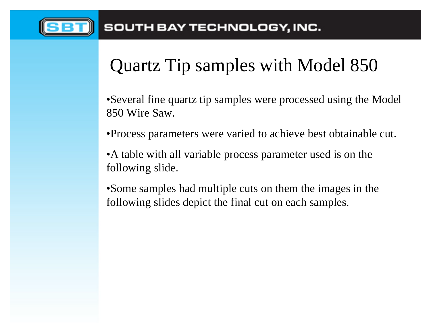

# Quartz Tip samples with Model 850

•Several fine quartz tip samples were processed using the Model 850 Wire Saw.

•Process parameters were varied to achieve best obtainable cut.

•A table with all variable process parameter used is on the following slide.

• Some samples had multiple cuts on them the images in the following slides depict the final cut on each samples.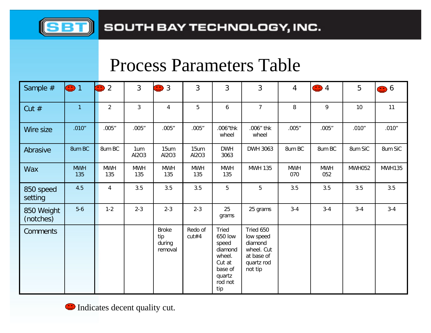

## Process Parameters Table

| Sample #                | $\bigodot$ 1      | $\left(\begin{array}{c} \bullet \\ \bullet \end{array}\right)$<br>$\overline{2}$ | $\overline{3}$    | <b>3</b>                                 | 3                 | 3                                                                                               | 3                                                                                      | $\overline{4}$    | $\bigodot$ 4      | 5             | <b>0</b> 6    |
|-------------------------|-------------------|----------------------------------------------------------------------------------|-------------------|------------------------------------------|-------------------|-------------------------------------------------------------------------------------------------|----------------------------------------------------------------------------------------|-------------------|-------------------|---------------|---------------|
| Cut $#$                 | $\mathbf{1}$      | $\overline{2}$                                                                   | $\overline{3}$    | 4                                        | 5                 | 6                                                                                               | $\overline{7}$                                                                         | 8                 | 9                 | 10            | 11            |
| Wire size               | .010''            | .005''                                                                           | .005''            | .005''                                   | .005''            | .006"thk<br>wheel                                                                               | .006" thk<br>wheel                                                                     | .005"             | .005''            | .010''        | .010''        |
| Abrasive                | 8um BC            | 8um BC                                                                           | 1um<br>Al2O3      | 15um<br>Al2O3                            | 15um<br>Al2O3     | <b>DWH</b><br>3063                                                                              | DWH 3063                                                                               | 8um BC            | 8um BC            | 8um SiC       | 8um SiC       |
| <b>Wax</b>              | <b>MWH</b><br>135 | <b>MWH</b><br>135                                                                | <b>MWH</b><br>135 | <b>MWH</b><br>135                        | <b>MWH</b><br>135 | <b>MWH</b><br>135                                                                               | <b>MWH 135</b>                                                                         | <b>MWH</b><br>070 | <b>MWH</b><br>052 | <b>MWH052</b> | <b>MWH135</b> |
| 850 speed<br>setting    | 4.5               | 4                                                                                | 3.5               | 3.5                                      | 3.5               | 5                                                                                               | 5                                                                                      | 3.5               | 3.5               | 3.5           | 3.5           |
| 850 Weight<br>(notches) | $5-6$             | $1 - 2$                                                                          | $2 - 3$           | $2 - 3$                                  | $2 - 3$           | 25<br>grams                                                                                     | 25 grams                                                                               | $3 - 4$           | $3 - 4$           | $3 - 4$       | $3-4$         |
| <b>Comments</b>         |                   |                                                                                  |                   | <b>Broke</b><br>tip<br>during<br>removal | Redo of<br>cut#4  | Tried<br>650 low<br>speed<br>diamond<br>wheel.<br>Cut at<br>base of<br>quartz<br>rod not<br>tip | Tried 650<br>low speed<br>diamond<br>wheel. Cut<br>at base of<br>quartz rod<br>not tip |                   |                   |               |               |

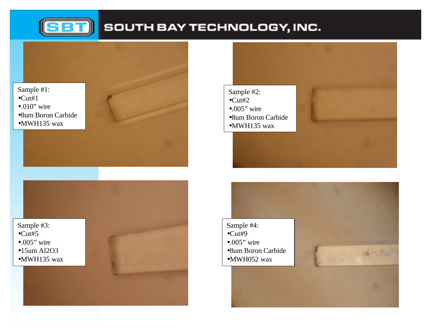

### SOUTH BAY TECHNOLOGY, INC.

#### Sample #1:  $\bullet$ Cut#1  $\bullet.010"$  wire •8um Boron Carbide •MWH135 wax